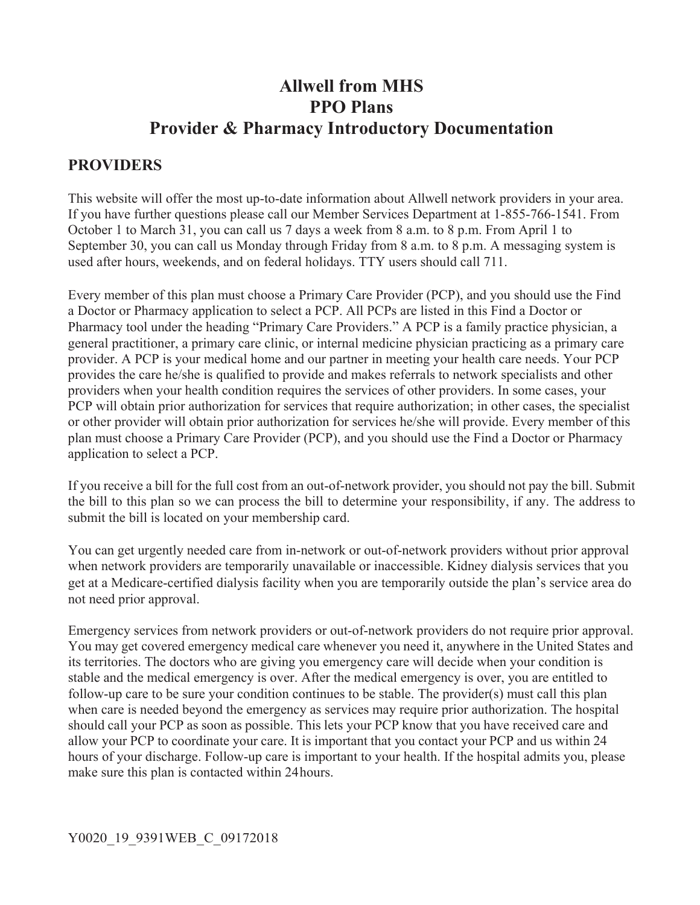# **Allwell from MHS PPO Plans Provider & Pharmacy Introductory Documentation**

### **PROVIDERS**

This website will offer the most up-to-date information about Allwell network providers in your area. If you have further questions please call our Member Services Department at 1-855-766-1541. From October 1 to March 31, you can call us 7 days a week from 8 a.m. to 8 p.m. From April 1 to September 30, you can call us Monday through Friday from 8 a.m. to 8 p.m. A messaging system is used after hours, weekends, and on federal holidays. TTY users should call 711.

Every member of this plan must choose a Primary Care Provider (PCP), and you should use the Find a Doctor or Pharmacy application to select a PCP. All PCPs are listed in this Find a Doctor or Pharmacy tool under the heading "Primary Care Providers." A PCP is a family practice physician, a general practitioner, a primary care clinic, or internal medicine physician practicing as a primary care provider. A PCP is your medical home and our partner in meeting your health care needs. Your PCP provides the care he/she is qualified to provide and makes referrals to network specialists and other providers when your health condition requires the services of other providers. In some cases, your PCP will obtain prior authorization for services that require authorization; in other cases, the specialist or other provider will obtain prior authorization for services he/she will provide. Every member of this plan must choose a Primary Care Provider (PCP), and you should use the Find a Doctor or Pharmacy application to select a PCP.

If you receive a bill for the full cost from an out-of-network provider, you should not pay the bill. Submit the bill to this plan so we can process the bill to determine your responsibility, if any. The address to submit the bill is located on your membership card.

You can get urgently needed care from in-network or out-of-network providers without prior approval when network providers are temporarily unavailable or inaccessible. Kidney dialysis services that you get at a Medicare-certified dialysis facility when you are temporarily outside the plan's service area do not need prior approval.

Emergency services from network providers or out-of-network providers do not require prior approval. You may get covered emergency medical care whenever you need it, anywhere in the United States and its territories. The doctors who are giving you emergency care will decide when your condition is stable and the medical emergency is over. After the medical emergency is over, you are entitled to follow-up care to be sure your condition continues to be stable. The provider(s) must call this plan when care is needed beyond the emergency as services may require prior authorization. The hospital should call your PCP as soon as possible. This lets your PCP know that you have received care and allow your PCP to coordinate your care. It is important that you contact your PCP and us within 24 hours of your discharge. Follow-up care is important to your health. If the hospital admits you, please make sure this plan is contacted within 24 hours.